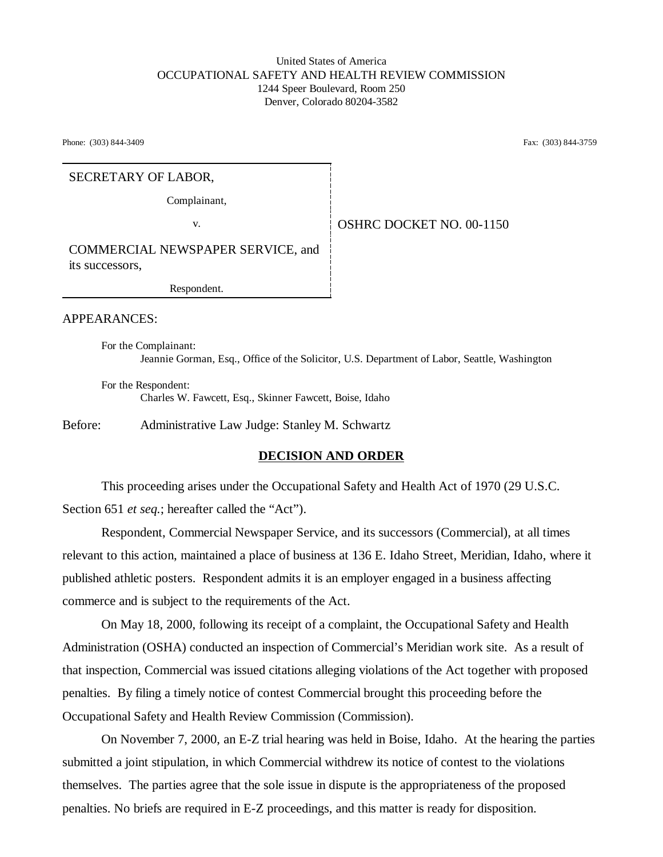### United States of America OCCUPATIONAL SAFETY AND HEALTH REVIEW COMMISSION 1244 Speer Boulevard, Room 250 Denver, Colorado 80204-3582

Phone: (303) 844-3409 **Fax:** (303) 844-3759

#### SECRETARY OF LABOR,

Complainant,

v. **OSHRC DOCKET NO. 00-1150** 

COMMERCIAL NEWSPAPER SERVICE, and its successors,

Respondent.

APPEARANCES:

For the Complainant: Jeannie Gorman, Esq., Office of the Solicitor, U.S. Department of Labor, Seattle, Washington

For the Respondent: Charles W. Fawcett, Esq., Skinner Fawcett, Boise, Idaho

Before: Administrative Law Judge: Stanley M. Schwartz

#### **DECISION AND ORDER**

This proceeding arises under the Occupational Safety and Health Act of 1970 (29 U.S.C. Section 651 *et seq.*; hereafter called the "Act").

Respondent, Commercial Newspaper Service, and its successors (Commercial), at all times relevant to this action, maintained a place of business at 136 E. Idaho Street, Meridian, Idaho, where it published athletic posters. Respondent admits it is an employer engaged in a business affecting commerce and is subject to the requirements of the Act.

On May 18, 2000, following its receipt of a complaint, the Occupational Safety and Health Administration (OSHA) conducted an inspection of Commercial's Meridian work site. As a result of that inspection, Commercial was issued citations alleging violations of the Act together with proposed penalties. By filing a timely notice of contest Commercial brought this proceeding before the Occupational Safety and Health Review Commission (Commission).

On November 7, 2000, an E-Z trial hearing was held in Boise, Idaho. At the hearing the parties submitted a joint stipulation, in which Commercial withdrew its notice of contest to the violations themselves. The parties agree that the sole issue in dispute is the appropriateness of the proposed penalties. No briefs are required in E-Z proceedings, and this matter is ready for disposition.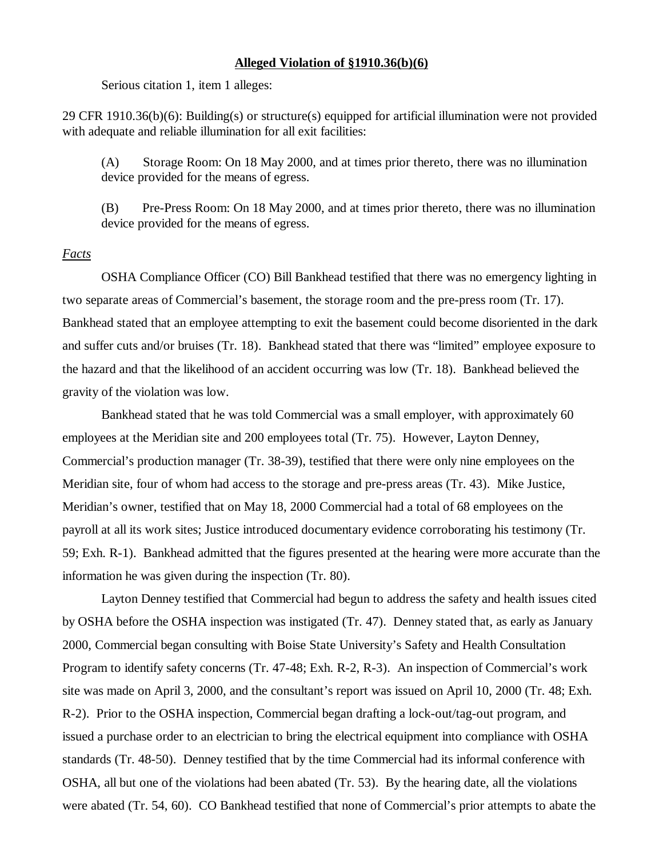#### **Alleged Violation of §1910.36(b)(6)**

Serious citation 1, item 1 alleges:

29 CFR 1910.36(b)(6): Building(s) or structure(s) equipped for artificial illumination were not provided with adequate and reliable illumination for all exit facilities:

(A) Storage Room: On 18 May 2000, and at times prior thereto, there was no illumination device provided for the means of egress.

(B) Pre-Press Room: On 18 May 2000, and at times prior thereto, there was no illumination device provided for the means of egress.

#### *Facts*

OSHA Compliance Officer (CO) Bill Bankhead testified that there was no emergency lighting in two separate areas of Commercial's basement, the storage room and the pre-press room (Tr. 17). Bankhead stated that an employee attempting to exit the basement could become disoriented in the dark and suffer cuts and/or bruises (Tr. 18). Bankhead stated that there was "limited" employee exposure to the hazard and that the likelihood of an accident occurring was low (Tr. 18). Bankhead believed the gravity of the violation was low.

Bankhead stated that he was told Commercial was a small employer, with approximately 60 employees at the Meridian site and 200 employees total (Tr. 75). However, Layton Denney, Commercial's production manager (Tr. 38-39), testified that there were only nine employees on the Meridian site, four of whom had access to the storage and pre-press areas (Tr. 43). Mike Justice, Meridian's owner, testified that on May 18, 2000 Commercial had a total of 68 employees on the payroll at all its work sites; Justice introduced documentary evidence corroborating his testimony (Tr. 59; Exh. R-1). Bankhead admitted that the figures presented at the hearing were more accurate than the information he was given during the inspection (Tr. 80).

Layton Denney testified that Commercial had begun to address the safety and health issues cited by OSHA before the OSHA inspection was instigated (Tr. 47). Denney stated that, as early as January 2000, Commercial began consulting with Boise State University's Safety and Health Consultation Program to identify safety concerns (Tr. 47-48; Exh. R-2, R-3). An inspection of Commercial's work site was made on April 3, 2000, and the consultant's report was issued on April 10, 2000 (Tr. 48; Exh. R-2). Prior to the OSHA inspection, Commercial began drafting a lock-out/tag-out program, and issued a purchase order to an electrician to bring the electrical equipment into compliance with OSHA standards (Tr. 48-50). Denney testified that by the time Commercial had its informal conference with OSHA, all but one of the violations had been abated (Tr. 53). By the hearing date, all the violations were abated (Tr. 54, 60). CO Bankhead testified that none of Commercial's prior attempts to abate the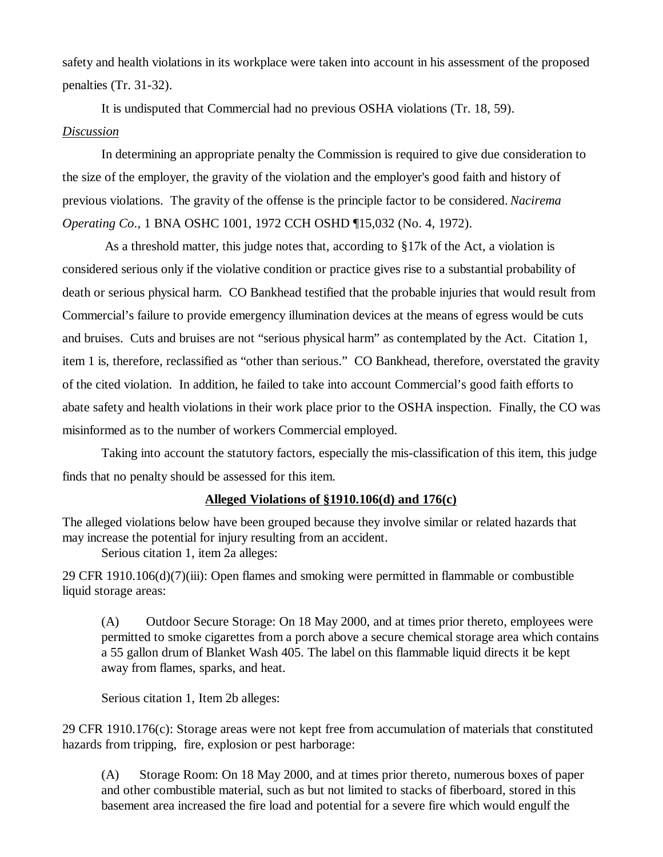safety and health violations in its workplace were taken into account in his assessment of the proposed penalties (Tr. 31-32).

It is undisputed that Commercial had no previous OSHA violations (Tr. 18, 59).

# *Discussion*

In determining an appropriate penalty the Commission is required to give due consideration to the size of the employer, the gravity of the violation and the employer's good faith and history of previous violations. The gravity of the offense is the principle factor to be considered. *Nacirema Operating Co*., 1 BNA OSHC 1001, 1972 CCH OSHD ¶15,032 (No. 4, 1972).

 As a threshold matter, this judge notes that, according to §17k of the Act, a violation is considered serious only if the violative condition or practice gives rise to a substantial probability of death or serious physical harm. CO Bankhead testified that the probable injuries that would result from Commercial's failure to provide emergency illumination devices at the means of egress would be cuts and bruises. Cuts and bruises are not "serious physical harm" as contemplated by the Act. Citation 1, item 1 is, therefore, reclassified as "other than serious." CO Bankhead, therefore, overstated the gravity of the cited violation. In addition, he failed to take into account Commercial's good faith efforts to abate safety and health violations in their work place prior to the OSHA inspection. Finally, the CO was misinformed as to the number of workers Commercial employed.

Taking into account the statutory factors, especially the mis-classification of this item, this judge finds that no penalty should be assessed for this item.

# **Alleged Violations of §1910.106(d) and 176(c)**

The alleged violations below have been grouped because they involve similar or related hazards that may increase the potential for injury resulting from an accident.

Serious citation 1, item 2a alleges:

29 CFR 1910.106(d)(7)(iii): Open flames and smoking were permitted in flammable or combustible liquid storage areas:

(A) Outdoor Secure Storage: On 18 May 2000, and at times prior thereto, employees were permitted to smoke cigarettes from a porch above a secure chemical storage area which contains a 55 gallon drum of Blanket Wash 405. The label on this flammable liquid directs it be kept away from flames, sparks, and heat.

Serious citation 1, Item 2b alleges:

29 CFR 1910.176(c): Storage areas were not kept free from accumulation of materials that constituted hazards from tripping, fire, explosion or pest harborage:

(A) Storage Room: On 18 May 2000, and at times prior thereto, numerous boxes of paper and other combustible material, such as but not limited to stacks of fiberboard, stored in this basement area increased the fire load and potential for a severe fire which would engulf the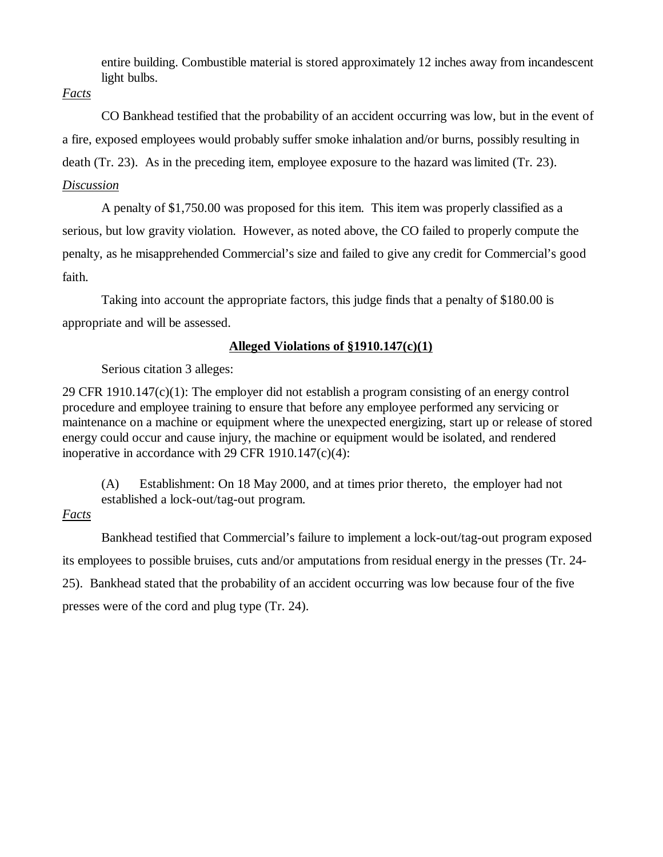entire building. Combustible material is stored approximately 12 inches away from incandescent light bulbs.

*Facts*

CO Bankhead testified that the probability of an accident occurring was low, but in the event of a fire, exposed employees would probably suffer smoke inhalation and/or burns, possibly resulting in death (Tr. 23). As in the preceding item, employee exposure to the hazard was limited (Tr. 23).

# *Discussion*

A penalty of \$1,750.00 was proposed for this item. This item was properly classified as a serious, but low gravity violation. However, as noted above, the CO failed to properly compute the penalty, as he misapprehended Commercial's size and failed to give any credit for Commercial's good faith.

Taking into account the appropriate factors, this judge finds that a penalty of \$180.00 is appropriate and will be assessed.

## **Alleged Violations of §1910.147(c)(1)**

Serious citation 3 alleges:

29 CFR 1910.147(c)(1): The employer did not establish a program consisting of an energy control procedure and employee training to ensure that before any employee performed any servicing or maintenance on a machine or equipment where the unexpected energizing, start up or release of stored energy could occur and cause injury, the machine or equipment would be isolated, and rendered inoperative in accordance with 29 CFR 1910.147(c)(4):

(A) Establishment: On 18 May 2000, and at times prior thereto, the employer had not established a lock-out/tag-out program.

## *Facts*

Bankhead testified that Commercial's failure to implement a lock-out/tag-out program exposed its employees to possible bruises, cuts and/or amputations from residual energy in the presses (Tr. 24- 25). Bankhead stated that the probability of an accident occurring was low because four of the five presses were of the cord and plug type (Tr. 24).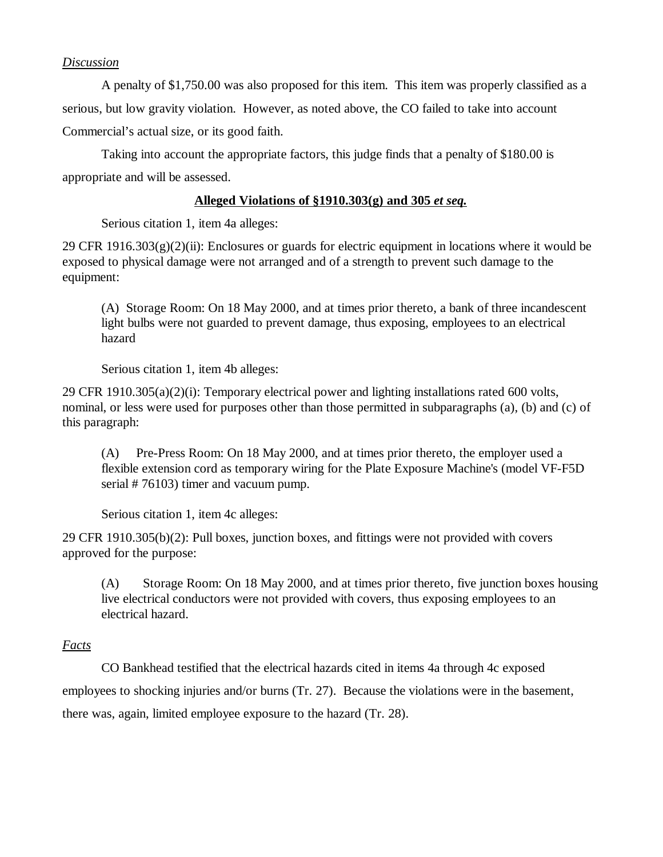### *Discussion*

A penalty of \$1,750.00 was also proposed for this item. This item was properly classified as a serious, but low gravity violation. However, as noted above, the CO failed to take into account Commercial's actual size, or its good faith.

Taking into account the appropriate factors, this judge finds that a penalty of \$180.00 is appropriate and will be assessed.

## **Alleged Violations of §1910.303(g) and 305** *et seq.*

Serious citation 1, item 4a alleges:

29 CFR 1916.303 $(g)(2)(ii)$ : Enclosures or guards for electric equipment in locations where it would be exposed to physical damage were not arranged and of a strength to prevent such damage to the equipment:

(A) Storage Room: On 18 May 2000, and at times prior thereto, a bank of three incandescent light bulbs were not guarded to prevent damage, thus exposing, employees to an electrical hazard

Serious citation 1, item 4b alleges:

29 CFR 1910.305(a)(2)(i): Temporary electrical power and lighting installations rated 600 volts, nominal, or less were used for purposes other than those permitted in subparagraphs (a), (b) and (c) of this paragraph:

(A) Pre-Press Room: On 18 May 2000, and at times prior thereto, the employer used a flexible extension cord as temporary wiring for the Plate Exposure Machine's (model VF-F5D serial # 76103) timer and vacuum pump.

Serious citation 1, item 4c alleges:

29 CFR 1910.305(b)(2): Pull boxes, junction boxes, and fittings were not provided with covers approved for the purpose:

(A) Storage Room: On 18 May 2000, and at times prior thereto, five junction boxes housing live electrical conductors were not provided with covers, thus exposing employees to an electrical hazard.

## *Facts*

CO Bankhead testified that the electrical hazards cited in items 4a through 4c exposed employees to shocking injuries and/or burns (Tr. 27). Because the violations were in the basement, there was, again, limited employee exposure to the hazard (Tr. 28).